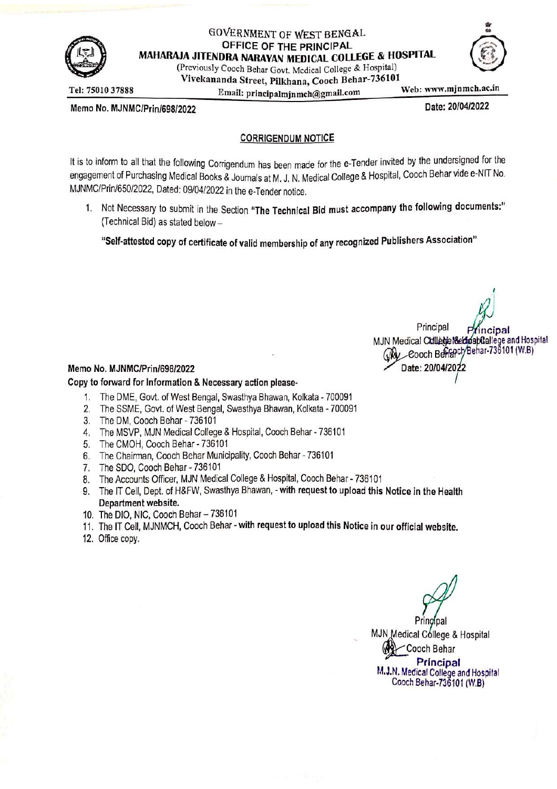

# GOVERNMENT OF WEST BENGAL OFFICE OF THE PRINCIPAL MAHARAJA JITENDRA NARAYAN MEDICAL COLLEGE & HOSPITAL

(Previously Cooch Behar Govt. Medical College & Hospital) Vivekananda Street, Pilkhana, Cooch Behar-736101 Email: principalminmch@gmail.com

Tel: 75010 37888

Web: www.mjnmch.ac.in

Date: 20/04/2022

Memo No. MJNMC/Prin/698/2022

# **CORRIGENDUM NOTICE**

It is to inform to all that the following Corrigendum has been made for the e-Tender invited by the undersigned for the engagement of Purchasing Medical Books & Journals at M. J. N. Medical College & Hospital, Cooch Behar vide e-NIT No. MJNMC/Prin/650/2022, Dated: 09/04/2022 in the e-Tender notice.

1. Not Necessary to submit in the Section "The Technical Bid must accompany the following documents:" (Technical Bid) as stated below -

"Self-attested copy of certificate of valid membership of any recognized Publishers Association"

Principal MJN Medical Culledie Netfospftallege and Hospital coch/Behar-736101 (W.B) Wa Cooch Ber Date: 20/04

#### Memo No. MJNMC/Prin/698/2022

#### Copy to forward for Information & Necessary action please-

- 1. The DME, Govt. of West Bengal, Swasthya Bhawan, Kolkata 700091
- 2. The SSME, Govt. of West Bengal, Swasthya Bhawan, Kolkata 700091
- 3. The DM, Cooch Behar 736101
- 4. The MSVP, MJN Medical College & Hospital, Cooch Behar 736101
- 5. The CMOH, Cooch Behar 736101
- 6. The Chairman, Cooch Behar Municipality, Cooch Behar 736101
- 7. The SDO, Cooch Behar 736101
- 8. The Accounts Officer, MJN Medical College & Hospital, Cooch Behar 736101
- 9. The IT Cell, Dept. of H&FW, Swasthya Bhawan, with request to upload this Notice in the Health Department website.
- 10. The DIO, NIC, Cooch Behar 736101
- 11. The IT Cell, MJNMCH, Cooch Behar with request to upload this Notice in our official website.
- 12. Office copy.

MJN Medical Cóllege & Hospital Cooch Behar Principal M.J.N. Medical College and Hospital Cooch Behar-736101 (W.B)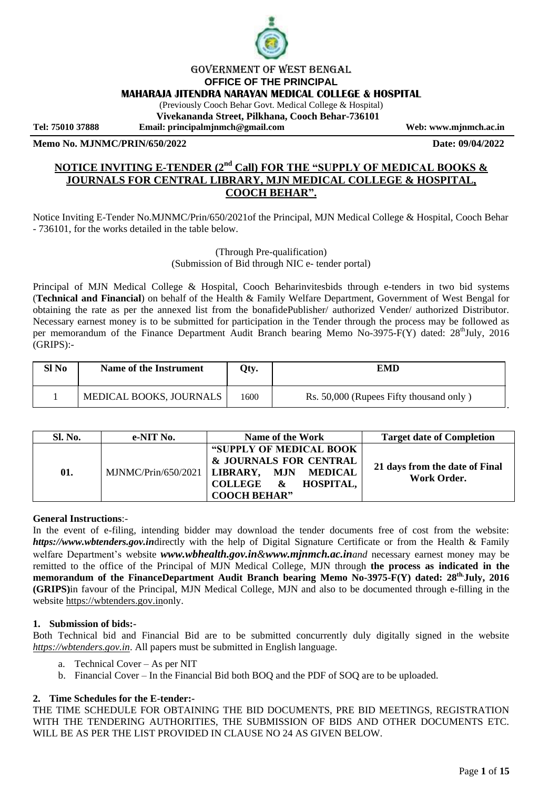

#### Government of West Bengal **OFFICE OF THE PRINCIPAL MAHARAJA JITENDRA NARAYAN MEDICAL COLLEGE & HOSPITAL**

(Previously Cooch Behar Govt. Medical College & Hospital)

**Vivekananda Street, Pilkhana, Cooch Behar-736101**

**Tel: 75010 37888 Email: principalmjnmch@gmail.com Web: www.mjnmch.ac.in**

**Memo No. MJNMC/PRIN/650/2022 Date: 09/04/2022**

# **NOTICE INVITING E-TENDER (2nd Call) FOR THE "SUPPLY OF MEDICAL BOOKS & JOURNALS FOR CENTRAL LIBRARY, MJN MEDICAL COLLEGE & HOSPITAL, COOCH BEHAR".**

Notice Inviting E-Tender No.MJNMC/Prin/650/2021of the Principal, MJN Medical College & Hospital, Cooch Behar - 736101, for the works detailed in the table below.

> (Through Pre-qualification) (Submission of Bid through NIC e- tender portal)

Principal of MJN Medical College & Hospital, Cooch Beharinvitesbids through e-tenders in two bid systems (**Technical and Financial**) on behalf of the Health & Family Welfare Department, Government of West Bengal for obtaining the rate as per the annexed list from the bonafidePublisher/ authorized Vender/ authorized Distributor. Necessary earnest money is to be submitted for participation in the Tender through the process may be followed as per memorandum of the Finance Department Audit Branch bearing Memo No-3975-F(Y) dated: 28<sup>th</sup>July, 2016 (GRIPS):-

| Sl No | Name of the Instrument  | Qty. | EMD                                     |
|-------|-------------------------|------|-----------------------------------------|
|       | MEDICAL BOOKS, JOURNALS | 1600 | Rs. 50,000 (Rupees Fifty thousand only) |

| <b>Sl. No.</b> | e-NIT No.                          | Name of the Work                                                                                                                                   | <b>Target date of Completion</b>              |
|----------------|------------------------------------|----------------------------------------------------------------------------------------------------------------------------------------------------|-----------------------------------------------|
| 01.            | MJNMC/Prin/650/2021   LIBRARY, MJN | "SUPPLY OF MEDICAL BOOK<br>& JOURNALS FOR CENTRAL<br>MEDICAL<br><b>HOSPITAL.</b><br><b>COLLEGE</b><br>$\boldsymbol{\alpha}$<br><b>COOCH BEHAR"</b> | 21 days from the date of Final<br>Work Order. |

# **General Instructions**:-

In the event of e-filing, intending bidder may download the tender documents free of cost from the website: *https://www.wbtenders.gov.in*directly with the help of Digital Signature Certificate or from the Health & Family welfare Department's website *www.wbhealth.gov.in&www.mjnmch.ac.inand* necessary earnest money may be remitted to the office of the Principal of MJN Medical College, MJN through **the process as indicated in the memorandum of the FinanceDepartment Audit Branch bearing Memo No-3975-F(Y) dated: 28th.July, 2016 (GRIPS)**in favour of the Principal, MJN Medical College, MJN and also to be documented through e-filling in the website [https://wbtenders.gov.ino](https://wbtenders.gov.in/)nly.

#### **1. Submission of bids:-**

Both Technical bid and Financial Bid are to be submitted concurrently duly digitally signed in the website *[https://wbtenders.gov.in](https://wbtenders.gov.in/)*. All papers must be submitted in English language.

- a. Technical Cover As per NIT
- b. Financial Cover In the Financial Bid both BOQ and the PDF of SOQ are to be uploaded.

#### **2. Time Schedules for the E-tender:-**

THE TIME SCHEDULE FOR OBTAINING THE BID DOCUMENTS, PRE BID MEETINGS, REGISTRATION WITH THE TENDERING AUTHORITIES, THE SUBMISSION OF BIDS AND OTHER DOCUMENTS ETC. WILL BE AS PER THE LIST PROVIDED IN CLAUSE NO 24 AS GIVEN BELOW.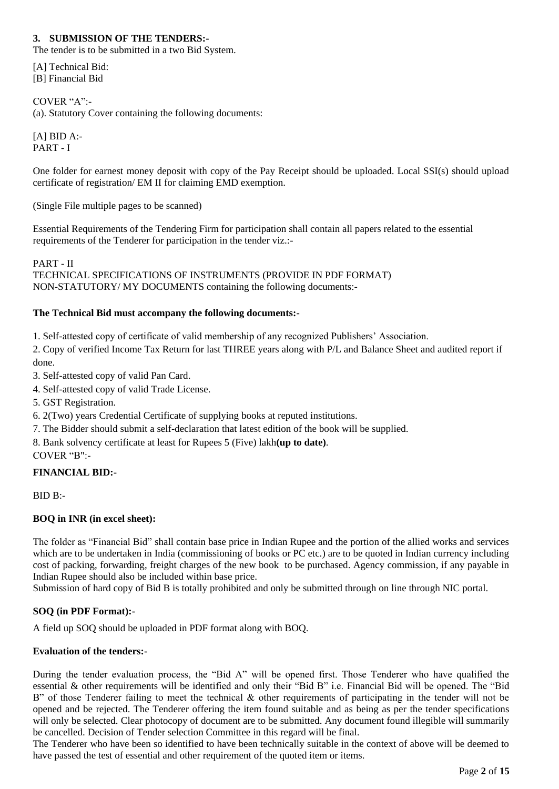# **3. SUBMISSION OF THE TENDERS:-**

The tender is to be submitted in a two Bid System.

[A] Technical Bid: [B] Financial Bid

COVER "A":- (a). Statutory Cover containing the following documents:

 $[A]$  BID  $A$ :-PART - I

One folder for earnest money deposit with copy of the Pay Receipt should be uploaded. Local SSI(s) should upload certificate of registration/ EM II for claiming EMD exemption.

(Single File multiple pages to be scanned)

Essential Requirements of the Tendering Firm for participation shall contain all papers related to the essential requirements of the Tenderer for participation in the tender viz.:-

PART - II TECHNICAL SPECIFICATIONS OF INSTRUMENTS (PROVIDE IN PDF FORMAT) NON-STATUTORY/ MY DOCUMENTS containing the following documents:-

# **The Technical Bid must accompany the following documents:-**

1. Self-attested copy of certificate of valid membership of any recognized Publishers" Association.

2. Copy of verified Income Tax Return for last THREE years along with P/L and Balance Sheet and audited report if done.

3. Self-attested copy of valid Pan Card.

- 4. Self-attested copy of valid Trade License.
- 5. GST Registration.

6. 2(Two) years Credential Certificate of supplying books at reputed institutions.

7. The Bidder should submit a self-declaration that latest edition of the book will be supplied.

8. Bank solvency certificate at least for Rupees 5 (Five) lakh**(up to date)**.

COVER "B":-

# **FINANCIAL BID:-**

BID B:-

# **BOQ in INR (in excel sheet):**

The folder as "Financial Bid" shall contain base price in Indian Rupee and the portion of the allied works and services which are to be undertaken in India (commissioning of books or PC etc.) are to be quoted in Indian currency including cost of packing, forwarding, freight charges of the new book to be purchased. Agency commission, if any payable in Indian Rupee should also be included within base price.

Submission of hard copy of Bid B is totally prohibited and only be submitted through on line through NIC portal.

# **SOQ (in PDF Format):-**

A field up SOQ should be uploaded in PDF format along with BOQ.

# **Evaluation of the tenders:-**

During the tender evaluation process, the "Bid A" will be opened first. Those Tenderer who have qualified the essential & other requirements will be identified and only their "Bid B" i.e. Financial Bid will be opened. The "Bid B" of those Tenderer failing to meet the technical  $\&$  other requirements of participating in the tender will not be opened and be rejected. The Tenderer offering the item found suitable and as being as per the tender specifications will only be selected. Clear photocopy of document are to be submitted. Any document found illegible will summarily be cancelled. Decision of Tender selection Committee in this regard will be final.

The Tenderer who have been so identified to have been technically suitable in the context of above will be deemed to have passed the test of essential and other requirement of the quoted item or items.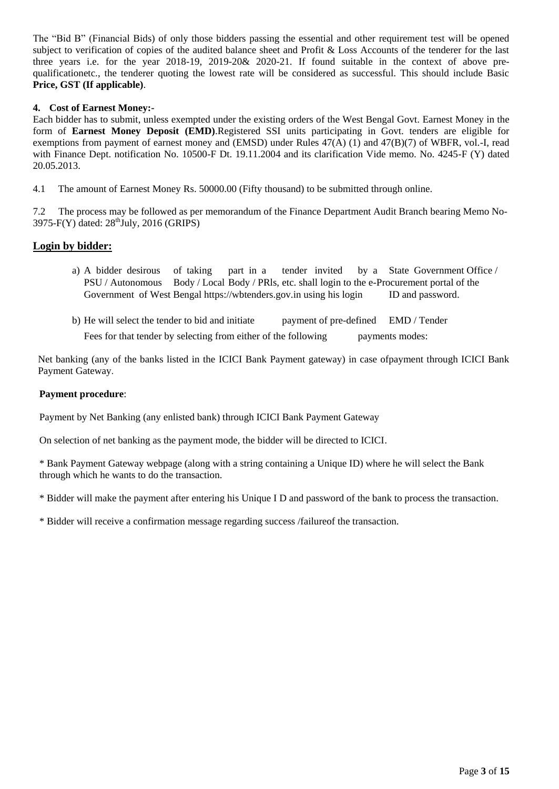The "Bid B" (Financial Bids) of only those bidders passing the essential and other requirement test will be opened subject to verification of copies of the audited balance sheet and Profit & Loss Accounts of the tenderer for the last three years i.e. for the year 2018-19, 2019-20& 2020-21. If found suitable in the context of above prequalificationetc., the tenderer quoting the lowest rate will be considered as successful. This should include Basic **Price, GST (If applicable)**.

# **4. Cost of Earnest Money:-**

Each bidder has to submit, unless exempted under the existing orders of the West Bengal Govt. Earnest Money in the form of **Earnest Money Deposit (EMD)**.Registered SSI units participating in Govt. tenders are eligible for exemptions from payment of earnest money and (EMSD) under Rules 47(A) (1) and 47(B)(7) of WBFR, vol.-I, read with Finance Dept. notification No. 10500-F Dt. 19.11.2004 and its clarification Vide memo. No. 4245-F (Y) dated 20.05.2013.

4.1 The amount of Earnest Money Rs. 50000.00 (Fifty thousand) to be submitted through online.

7.2 The process may be followed as per memorandum of the Finance Department Audit Branch bearing Memo No- $3975\text{-}F(Y)$  dated:  $28^{\text{th}}$ July,  $2016$  (GRIPS)

#### **Login by bidder:**

- a) A bidder desirous of taking part in a tender invited by a State Government Office / PSU / Autonomous Body / Local Body / PRls, etc. shall login to the e-Procurement portal of the Government of West Bengal https://wbtenders.gov.in using his login ID and password.
- b) He will select the tender to bid and initiate payment of pre-defined EMD / Tender

Fees for that tender by selecting from either of the following payments modes:

Net banking (any of the banks listed in the ICICI Bank Payment gateway) in case ofpayment through ICICI Bank Payment Gateway.

#### **Payment procedure**:

Payment by Net Banking (any enlisted bank) through ICICI Bank Payment Gateway

On selection of net banking as the payment mode, the bidder will be directed to ICICI.

\* Bank Payment Gateway webpage (along with a string containing a Unique ID) where he will select the Bank through which he wants to do the transaction.

\* Bidder will make the payment after entering his Unique I D and password of the bank to process the transaction.

\* Bidder will receive a confirmation message regarding success /failureof the transaction.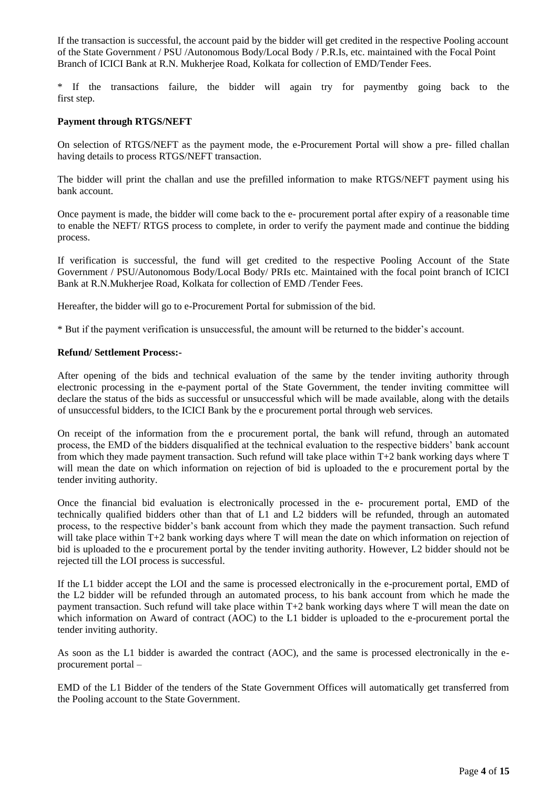If the transaction is successful, the account paid by the bidder will get credited in the respective Pooling account of the State Government / PSU /Autonomous Body/Local Body / P.R.Is, etc. maintained with the Focal Point Branch of ICICI Bank at R.N. Mukherjee Road, Kolkata for collection of EMD/Tender Fees.

\* If the transactions failure, the bidder will again try for paymentby going back to the first step.

#### **Payment through RTGS/NEFT**

On selection of RTGS/NEFT as the payment mode, the e-Procurement Portal will show a pre- filled challan having details to process RTGS/NEFT transaction.

The bidder will print the challan and use the prefilled information to make RTGS/NEFT payment using his bank account.

Once payment is made, the bidder will come back to the e- procurement portal after expiry of a reasonable time to enable the NEFT/ RTGS process to complete, in order to verify the payment made and continue the bidding process.

If verification is successful, the fund will get credited to the respective Pooling Account of the State Government / PSU/Autonomous Body/Local Body/ PRIs etc. Maintained with the focal point branch of ICICI Bank at R.N.Mukherjee Road, Kolkata for collection of EMD /Tender Fees.

Hereafter, the bidder will go to e-Procurement Portal for submission of the bid.

\* But if the payment verification is unsuccessful, the amount will be returned to the bidder"s account.

#### **Refund/ Settlement Process:-**

After opening of the bids and technical evaluation of the same by the tender inviting authority through electronic processing in the e-payment portal of the State Government, the tender inviting committee will declare the status of the bids as successful or unsuccessful which will be made available, along with the details of unsuccessful bidders, to the ICICI Bank by the e procurement portal through web services.

On receipt of the information from the e procurement portal, the bank will refund, through an automated process, the EMD of the bidders disqualified at the technical evaluation to the respective bidders" bank account from which they made payment transaction. Such refund will take place within T+2 bank working days where T will mean the date on which information on rejection of bid is uploaded to the e procurement portal by the tender inviting authority.

Once the financial bid evaluation is electronically processed in the e- procurement portal, EMD of the technically qualified bidders other than that of L1 and L2 bidders will be refunded, through an automated process, to the respective bidder"s bank account from which they made the payment transaction. Such refund will take place within T+2 bank working days where T will mean the date on which information on rejection of bid is uploaded to the e procurement portal by the tender inviting authority. However, L2 bidder should not be rejected till the LOI process is successful.

If the L1 bidder accept the LOI and the same is processed electronically in the e-procurement portal, EMD of the L2 bidder will be refunded through an automated process, to his bank account from which he made the payment transaction. Such refund will take place within T+2 bank working days where T will mean the date on which information on Award of contract (AOC) to the L1 bidder is uploaded to the e-procurement portal the tender inviting authority.

As soon as the L1 bidder is awarded the contract (AOC), and the same is processed electronically in the eprocurement portal –

EMD of the L1 Bidder of the tenders of the State Government Offices will automatically get transferred from the Pooling account to the State Government.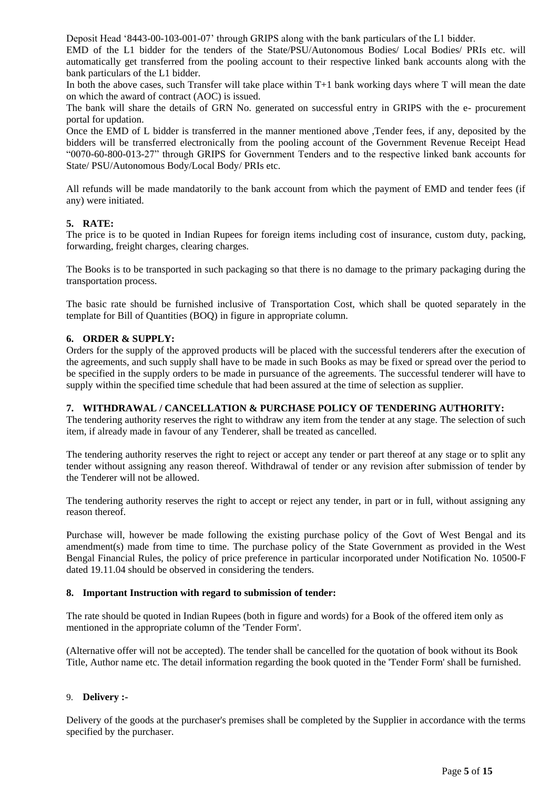Deposit Head "8443-00-103-001-07" through GRIPS along with the bank particulars of the L1 bidder.

EMD of the L1 bidder for the tenders of the State/PSU/Autonomous Bodies/ Local Bodies/ PRIs etc. will automatically get transferred from the pooling account to their respective linked bank accounts along with the bank particulars of the L1 bidder.

In both the above cases, such Transfer will take place within T+1 bank working days where T will mean the date on which the award of contract (AOC) is issued.

The bank will share the details of GRN No. generated on successful entry in GRIPS with the e- procurement portal for updation.

Once the EMD of L bidder is transferred in the manner mentioned above ,Tender fees, if any, deposited by the bidders will be transferred electronically from the pooling account of the Government Revenue Receipt Head "0070-60-800-013-27" through GRIPS for Government Tenders and to the respective linked bank accounts for State/ PSU/Autonomous Body/Local Body/ PRIs etc.

All refunds will be made mandatorily to the bank account from which the payment of EMD and tender fees (if any) were initiated.

# **5. RATE:**

The price is to be quoted in Indian Rupees for foreign items including cost of insurance, custom duty, packing, forwarding, freight charges, clearing charges.

The Books is to be transported in such packaging so that there is no damage to the primary packaging during the transportation process.

The basic rate should be furnished inclusive of Transportation Cost, which shall be quoted separately in the template for Bill of Quantities (BOQ) in figure in appropriate column.

#### **6. ORDER & SUPPLY:**

Orders for the supply of the approved products will be placed with the successful tenderers after the execution of the agreements, and such supply shall have to be made in such Books as may be fixed or spread over the period to be specified in the supply orders to be made in pursuance of the agreements. The successful tenderer will have to supply within the specified time schedule that had been assured at the time of selection as supplier.

# **7. WITHDRAWAL / CANCELLATION & PURCHASE POLICY OF TENDERING AUTHORITY:**

The tendering authority reserves the right to withdraw any item from the tender at any stage. The selection of such item, if already made in favour of any Tenderer, shall be treated as cancelled.

The tendering authority reserves the right to reject or accept any tender or part thereof at any stage or to split any tender without assigning any reason thereof. Withdrawal of tender or any revision after submission of tender by the Tenderer will not be allowed.

The tendering authority reserves the right to accept or reject any tender, in part or in full, without assigning any reason thereof.

Purchase will, however be made following the existing purchase policy of the Govt of West Bengal and its amendment(s) made from time to time. The purchase policy of the State Government as provided in the West Bengal Financial Rules, the policy of price preference in particular incorporated under Notification No. 10500-F dated 19.11.04 should be observed in considering the tenders.

#### **8. Important Instruction with regard to submission of tender:**

The rate should be quoted in Indian Rupees (both in figure and words) for a Book of the offered item only as mentioned in the appropriate column of the 'Tender Form'.

(Alternative offer will not be accepted). The tender shall be cancelled for the quotation of book without its Book Title, Author name etc. The detail information regarding the book quoted in the 'Tender Form' shall be furnished.

# 9. **Delivery :-**

Delivery of the goods at the purchaser's premises shall be completed by the Supplier in accordance with the terms specified by the purchaser.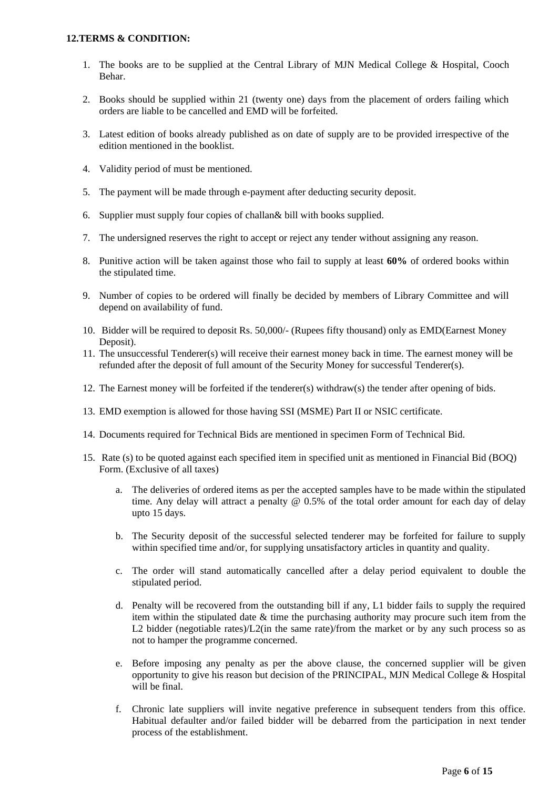### **12.TERMS & CONDITION:**

- 1. The books are to be supplied at the Central Library of MJN Medical College & Hospital, Cooch Behar.
- 2. Books should be supplied within 21 (twenty one) days from the placement of orders failing which orders are liable to be cancelled and EMD will be forfeited.
- 3. Latest edition of books already published as on date of supply are to be provided irrespective of the edition mentioned in the booklist.
- 4. Validity period of must be mentioned.
- 5. The payment will be made through e-payment after deducting security deposit.
- 6. Supplier must supply four copies of challan& bill with books supplied.
- 7. The undersigned reserves the right to accept or reject any tender without assigning any reason.
- 8. Punitive action will be taken against those who fail to supply at least **60%** of ordered books within the stipulated time.
- 9. Number of copies to be ordered will finally be decided by members of Library Committee and will depend on availability of fund.
- 10. Bidder will be required to deposit Rs. 50,000/- (Rupees fifty thousand) only as EMD(Earnest Money Deposit).
- 11. The unsuccessful Tenderer(s) will receive their earnest money back in time. The earnest money will be refunded after the deposit of full amount of the Security Money for successful Tenderer(s).
- 12. The Earnest money will be forfeited if the tenderer(s) withdraw(s) the tender after opening of bids.
- 13. EMD exemption is allowed for those having SSI (MSME) Part II or NSIC certificate.
- 14. Documents required for Technical Bids are mentioned in specimen Form of Technical Bid.
- 15. Rate (s) to be quoted against each specified item in specified unit as mentioned in Financial Bid (BOQ) Form. (Exclusive of all taxes)
	- a. The deliveries of ordered items as per the accepted samples have to be made within the stipulated time. Any delay will attract a penalty @ 0.5% of the total order amount for each day of delay upto 15 days.
	- b. The Security deposit of the successful selected tenderer may be forfeited for failure to supply within specified time and/or, for supplying unsatisfactory articles in quantity and quality.
	- c. The order will stand automatically cancelled after a delay period equivalent to double the stipulated period.
	- d. Penalty will be recovered from the outstanding bill if any, L1 bidder fails to supply the required item within the stipulated date & time the purchasing authority may procure such item from the L2 bidder (negotiable rates)/L2(in the same rate)/from the market or by any such process so as not to hamper the programme concerned.
	- e. Before imposing any penalty as per the above clause, the concerned supplier will be given opportunity to give his reason but decision of the PRINCIPAL, MJN Medical College & Hospital will be final.
	- f. Chronic late suppliers will invite negative preference in subsequent tenders from this office. Habitual defaulter and/or failed bidder will be debarred from the participation in next tender process of the establishment.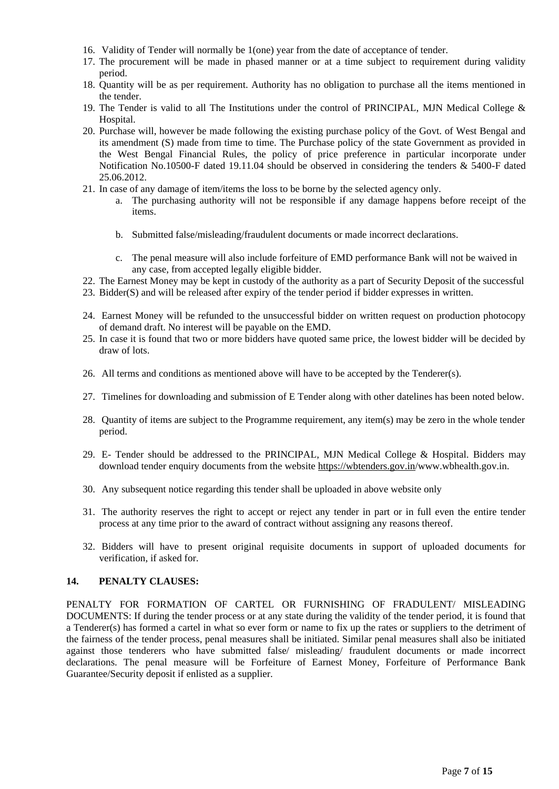- 16. Validity of Tender will normally be 1(one) year from the date of acceptance of tender.
- 17. The procurement will be made in phased manner or at a time subject to requirement during validity period.
- 18. Quantity will be as per requirement. Authority has no obligation to purchase all the items mentioned in the tender.
- 19. The Tender is valid to all The Institutions under the control of PRINCIPAL, MJN Medical College & Hospital.
- 20. Purchase will, however be made following the existing purchase policy of the Govt. of West Bengal and its amendment (S) made from time to time. The Purchase policy of the state Government as provided in the West Bengal Financial Rules, the policy of price preference in particular incorporate under Notification No.10500-F dated 19.11.04 should be observed in considering the tenders & 5400-F dated 25.06.2012.
- 21. In case of any damage of item/items the loss to be borne by the selected agency only.
	- a. The purchasing authority will not be responsible if any damage happens before receipt of the items.
	- b. Submitted false/misleading/fraudulent documents or made incorrect declarations.
	- c. The penal measure will also include forfeiture of EMD performance Bank will not be waived in any case, from accepted legally eligible bidder.
- 22. The Earnest Money may be kept in custody of the authority as a part of Security Deposit of the successful
- 23. Bidder(S) and will be released after expiry of the tender period if bidder expresses in written.
- 24. Earnest Money will be refunded to the unsuccessful bidder on written request on production photocopy of demand draft. No interest will be payable on the EMD.
- 25. In case it is found that two or more bidders have quoted same price, the lowest bidder will be decided by draw of lots.
- 26. All terms and conditions as mentioned above will have to be accepted by the Tenderer(s).
- 27. Timelines for downloading and submission of E Tender along with other datelines has been noted below.
- 28. Quantity of items are subject to the Programme requirement, any item(s) may be zero in the whole tender period.
- 29. E- Tender should be addressed to the PRINCIPAL, MJN Medical College & Hospital. Bidders may download tender enquiry documents from the website<https://wbtenders.gov.in/>www.wbhealth.gov.in.
- 30. Any subsequent notice regarding this tender shall be uploaded in above website only
- 31. The authority reserves the right to accept or reject any tender in part or in full even the entire tender process at any time prior to the award of contract without assigning any reasons thereof.
- 32. Bidders will have to present original requisite documents in support of uploaded documents for verification, if asked for.

#### **14. PENALTY CLAUSES:**

PENALTY FOR FORMATION OF CARTEL OR FURNISHING OF FRADULENT/ MISLEADING DOCUMENTS: If during the tender process or at any state during the validity of the tender period, it is found that a Tenderer(s) has formed a cartel in what so ever form or name to fix up the rates or suppliers to the detriment of the fairness of the tender process, penal measures shall be initiated. Similar penal measures shall also be initiated against those tenderers who have submitted false/ misleading/ fraudulent documents or made incorrect declarations. The penal measure will be Forfeiture of Earnest Money, Forfeiture of Performance Bank Guarantee/Security deposit if enlisted as a supplier.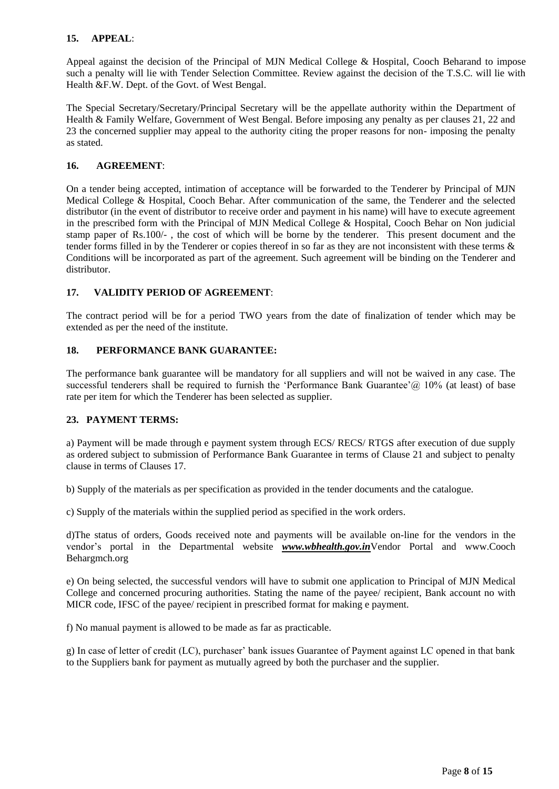# **15. APPEAL**:

Appeal against the decision of the Principal of MJN Medical College & Hospital, Cooch Beharand to impose such a penalty will lie with Tender Selection Committee. Review against the decision of the T.S.C. will lie with Health &F.W. Dept. of the Govt. of West Bengal.

The Special Secretary/Secretary/Principal Secretary will be the appellate authority within the Department of Health & Family Welfare, Government of West Bengal. Before imposing any penalty as per clauses 21, 22 and 23 the concerned supplier may appeal to the authority citing the proper reasons for non- imposing the penalty as stated.

# **16. AGREEMENT**:

On a tender being accepted, intimation of acceptance will be forwarded to the Tenderer by Principal of MJN Medical College & Hospital, Cooch Behar. After communication of the same, the Tenderer and the selected distributor (in the event of distributor to receive order and payment in his name) will have to execute agreement in the prescribed form with the Principal of MJN Medical College & Hospital, Cooch Behar on Non judicial stamp paper of Rs.100/- , the cost of which will be borne by the tenderer. This present document and the tender forms filled in by the Tenderer or copies thereof in so far as they are not inconsistent with these terms & Conditions will be incorporated as part of the agreement. Such agreement will be binding on the Tenderer and distributor.

# **17. VALIDITY PERIOD OF AGREEMENT**:

The contract period will be for a period TWO years from the date of finalization of tender which may be extended as per the need of the institute.

# **18. PERFORMANCE BANK GUARANTEE:**

The performance bank guarantee will be mandatory for all suppliers and will not be waived in any case. The successful tenderers shall be required to furnish the 'Performance Bank Guarantee'  $\omega$  10% (at least) of base rate per item for which the Tenderer has been selected as supplier.

# **23. PAYMENT TERMS:**

a) Payment will be made through e payment system through ECS/ RECS/ RTGS after execution of due supply as ordered subject to submission of Performance Bank Guarantee in terms of Clause 21 and subject to penalty clause in terms of Clauses 17.

b) Supply of the materials as per specification as provided in the tender documents and the catalogue.

c) Supply of the materials within the supplied period as specified in the work orders.

d)The status of orders, Goods received note and payments will be available on-line for the vendors in the vendor"s portal in the Departmental website *www.wbhealth.gov.in*Vendor Portal and www.Cooch Behargmch.org

e) On being selected, the successful vendors will have to submit one application to Principal of MJN Medical College and concerned procuring authorities. Stating the name of the payee/ recipient, Bank account no with MICR code, IFSC of the payee/ recipient in prescribed format for making e payment.

f) No manual payment is allowed to be made as far as practicable.

g) In case of letter of credit (LC), purchaser" bank issues Guarantee of Payment against LC opened in that bank to the Suppliers bank for payment as mutually agreed by both the purchaser and the supplier.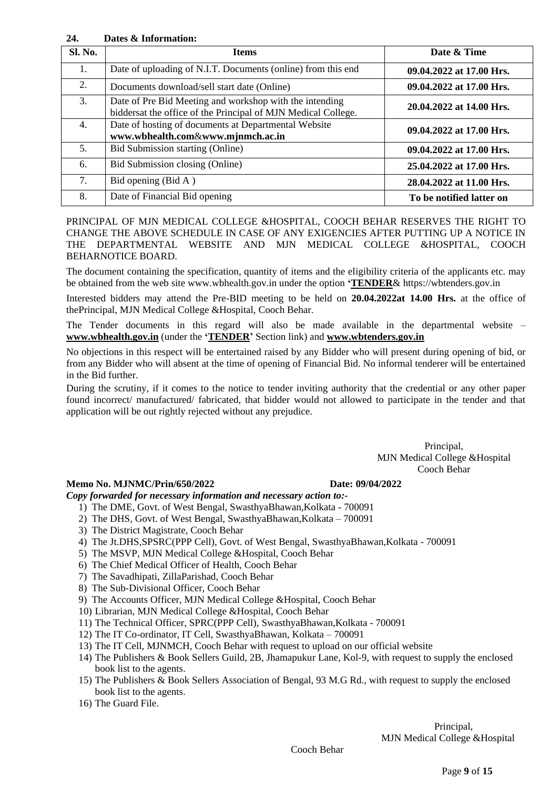# **24. Dates & Information:**

| <b>Sl. No.</b> | <b>Items</b>                                                                                                             | Date & Time              |
|----------------|--------------------------------------------------------------------------------------------------------------------------|--------------------------|
| 1.             | Date of uploading of N.I.T. Documents (online) from this end                                                             | 09.04.2022 at 17.00 Hrs. |
| 2.             | Documents download/sell start date (Online)                                                                              | 09.04.2022 at 17.00 Hrs. |
| 3.             | Date of Pre Bid Meeting and workshop with the intending<br>biddersat the office of the Principal of MJN Medical College. | 20.04.2022 at 14.00 Hrs. |
| 4.             | Date of hosting of documents at Departmental Website<br>www.wbhealth.com&www.mjnmch.ac.in                                | 09.04.2022 at 17.00 Hrs. |
| 5.             | Bid Submission starting (Online)                                                                                         | 09.04.2022 at 17.00 Hrs. |
| 6.             | Bid Submission closing (Online)                                                                                          | 25.04.2022 at 17.00 Hrs. |
| 7.             | Bid opening (Bid A)                                                                                                      | 28.04.2022 at 11.00 Hrs. |
| 8.             | Date of Financial Bid opening                                                                                            | To be notified latter on |

PRINCIPAL OF MJN MEDICAL COLLEGE &HOSPITAL, COOCH BEHAR RESERVES THE RIGHT TO CHANGE THE ABOVE SCHEDULE IN CASE OF ANY EXIGENCIES AFTER PUTTING UP A NOTICE IN THE DEPARTMENTAL WEBSITE AND MJN MEDICAL COLLEGE &HOSPITAL, COOCH BEHARNOTICE BOARD.

The document containing the specification, quantity of items and the eligibility criteria of the applicants etc. may be obtained from the web site www.wbhealth.gov.in under the option **"TENDER**& https://wbtenders.gov.in

Interested bidders may attend the Pre-BID meeting to be held on **20.04.2022at 14.00 Hrs.** at the office of thePrincipal, MJN Medical College &Hospital, Cooch Behar.

The Tender documents in this regard will also be made available in the departmental website – **www.wbhealth.gov.in** (under the **"TENDER"** Section link) and **www.wbtenders.gov.in**

No objections in this respect will be entertained raised by any Bidder who will present during opening of bid, or from any Bidder who will absent at the time of opening of Financial Bid. No informal tenderer will be entertained in the Bid further.

During the scrutiny, if it comes to the notice to tender inviting authority that the credential or any other paper found incorrect/ manufactured/ fabricated, that bidder would not allowed to participate in the tender and that application will be out rightly rejected without any prejudice.

> Principal, MJN Medical College &Hospital Cooch Behar

# **Memo No. MJNMC/Prin/650/2022 Date: 09/04/2022**

*Copy forwarded for necessary information and necessary action to:-*

- 1) The DME, Govt. of West Bengal, SwasthyaBhawan,Kolkata 700091
- 2) The DHS, Govt. of West Bengal, SwasthyaBhawan,Kolkata 700091
- 3) The District Magistrate, Cooch Behar
- 4) The Jt.DHS,SPSRC(PPP Cell), Govt. of West Bengal, SwasthyaBhawan,Kolkata 700091
- 5) The MSVP, MJN Medical College &Hospital, Cooch Behar
- 6) The Chief Medical Officer of Health, Cooch Behar
- 7) The Savadhipati, ZillaParishad, Cooch Behar
- 8) The Sub-Divisional Officer, Cooch Behar
- 9) The Accounts Officer, MJN Medical College &Hospital, Cooch Behar
- 10) Librarian, MJN Medical College &Hospital, Cooch Behar
- 11) The Technical Officer, SPRC(PPP Cell), SwasthyaBhawan,Kolkata 700091
- 12) The IT Co-ordinator, IT Cell, SwasthyaBhawan, Kolkata 700091
- 13) The IT Cell, MJNMCH, Cooch Behar with request to upload on our official website
- 14) The Publishers & Book Sellers Guild, 2B, Jhamapukur Lane, Kol-9, with request to supply the enclosed book list to the agents.
- 15) The Publishers & Book Sellers Association of Bengal, 93 M.G Rd., with request to supply the enclosed book list to the agents.
- 16) The Guard File.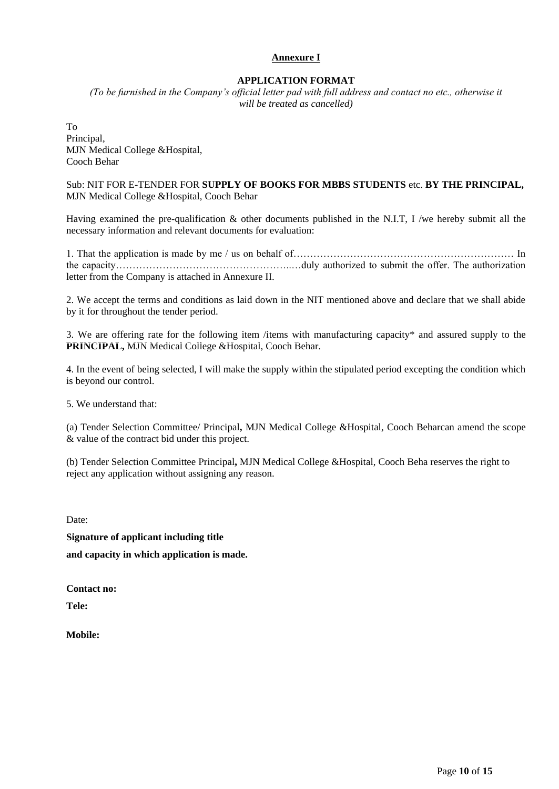# **Annexure I**

# **APPLICATION FORMAT**

*(To be furnished in the Company's official letter pad with full address and contact no etc., otherwise it will be treated as cancelled)*

To Principal, MJN Medical College &Hospital, Cooch Behar

Sub: NIT FOR E-TENDER FOR **SUPPLY OF BOOKS FOR MBBS STUDENTS** etc. **BY THE PRINCIPAL,**  MJN Medical College &Hospital, Cooch Behar

Having examined the pre-qualification & other documents published in the N.I.T, I /we hereby submit all the necessary information and relevant documents for evaluation:

1. That the application is made by me / us on behalf of………………………………………………………… In the capacity……………………………………………..…duly authorized to submit the offer. The authorization letter from the Company is attached in Annexure II.

2. We accept the terms and conditions as laid down in the NIT mentioned above and declare that we shall abide by it for throughout the tender period.

3. We are offering rate for the following item /items with manufacturing capacity\* and assured supply to the **PRINCIPAL,** MJN Medical College &Hospital, Cooch Behar.

4. In the event of being selected, I will make the supply within the stipulated period excepting the condition which is beyond our control.

5. We understand that:

(a) Tender Selection Committee/ Principal**,** MJN Medical College &Hospital, Cooch Beharcan amend the scope & value of the contract bid under this project.

(b) Tender Selection Committee Principal**,** MJN Medical College &Hospital, Cooch Beha reserves the right to reject any application without assigning any reason.

Date:

**Signature of applicant including title and capacity in which application is made.** 

**Contact no:** 

**Tele:** 

**Mobile:**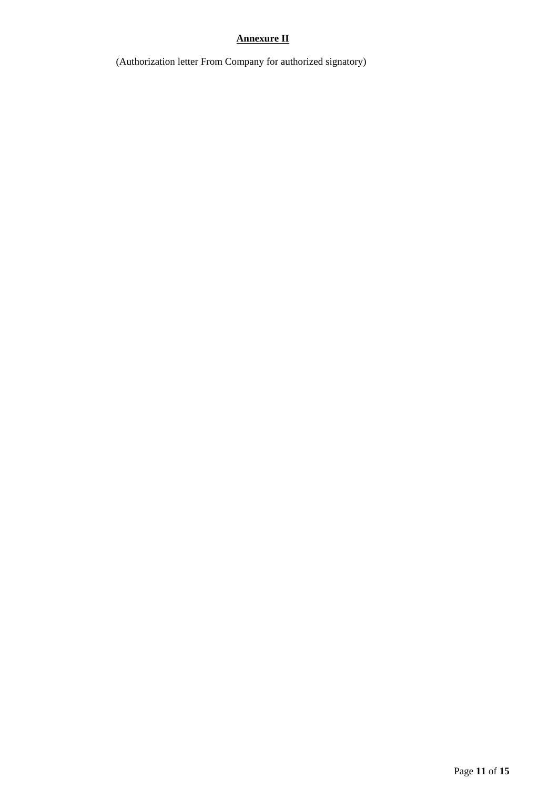# **Annexure II**

(Authorization letter From Company for authorized signatory)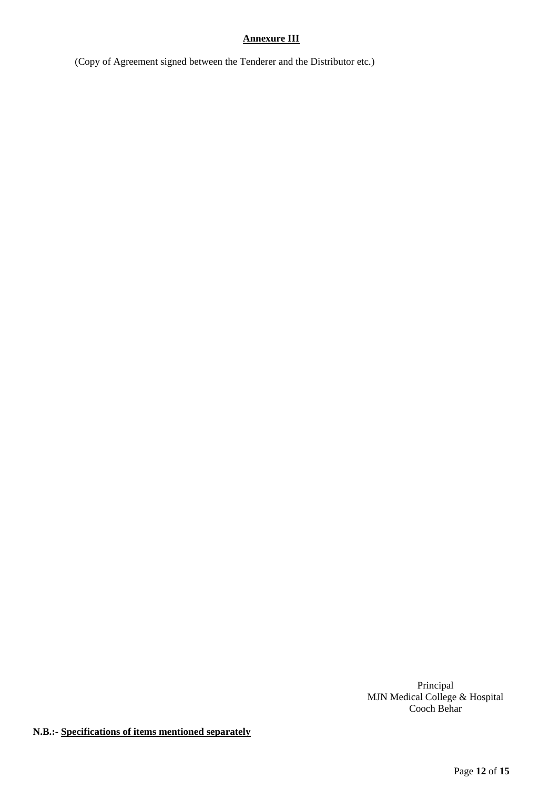# **Annexure III**

(Copy of Agreement signed between the Tenderer and the Distributor etc.)

Principal MJN Medical College & Hospital Cooch Behar

**N.B.:- Specifications of items mentioned separately**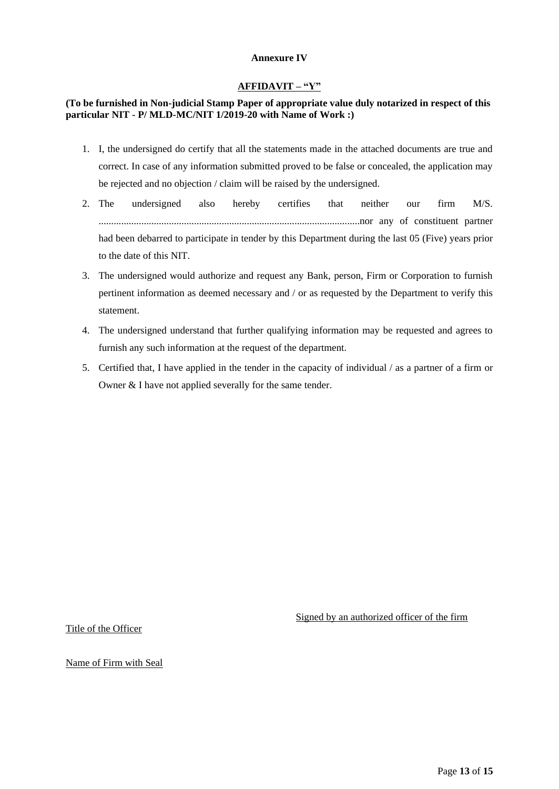### **Annexure IV**

### **AFFIDAVIT – "Y"**

# **(To be furnished in Non-judicial Stamp Paper of appropriate value duly notarized in respect of this particular NIT - P/ MLD-MC/NIT 1/2019-20 with Name of Work :)**

- 1. I, the undersigned do certify that all the statements made in the attached documents are true and correct. In case of any information submitted proved to be false or concealed, the application may be rejected and no objection / claim will be raised by the undersigned.
- 2. The undersigned also hereby certifies that neither our firm M/S. ........................................................................................................nor any of constituent partner had been debarred to participate in tender by this Department during the last 05 (Five) years prior to the date of this NIT.
- 3. The undersigned would authorize and request any Bank, person, Firm or Corporation to furnish pertinent information as deemed necessary and / or as requested by the Department to verify this statement.
- 4. The undersigned understand that further qualifying information may be requested and agrees to furnish any such information at the request of the department.
- 5. Certified that, I have applied in the tender in the capacity of individual / as a partner of a firm or Owner & I have not applied severally for the same tender.

Signed by an authorized officer of the firm

Title of the Officer

Name of Firm with Seal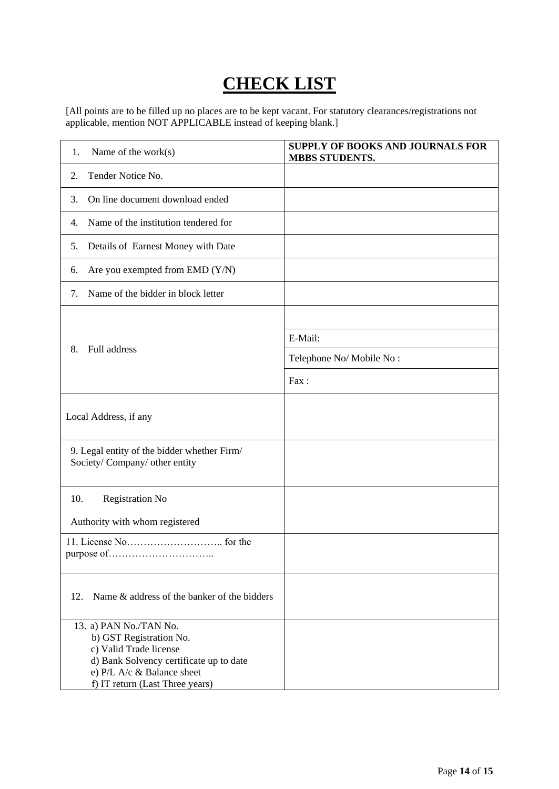# **CHECK LIST**

[All points are to be filled up no places are to be kept vacant. For statutory clearances/registrations not applicable, mention NOT APPLICABLE instead of keeping blank.]

| Name of the work $(s)$<br>1.                                                                                                                                                            | <b>SUPPLY OF BOOKS AND JOURNALS FOR</b><br><b>MBBS STUDENTS.</b> |
|-----------------------------------------------------------------------------------------------------------------------------------------------------------------------------------------|------------------------------------------------------------------|
| Tender Notice No.<br>2.                                                                                                                                                                 |                                                                  |
| On line document download ended<br>3.                                                                                                                                                   |                                                                  |
| Name of the institution tendered for<br>4.                                                                                                                                              |                                                                  |
| Details of Earnest Money with Date<br>5.                                                                                                                                                |                                                                  |
| Are you exempted from EMD (Y/N)<br>6.                                                                                                                                                   |                                                                  |
| Name of the bidder in block letter<br>7.                                                                                                                                                |                                                                  |
|                                                                                                                                                                                         |                                                                  |
|                                                                                                                                                                                         | E-Mail:                                                          |
| Full address<br>8.                                                                                                                                                                      | Telephone No/Mobile No:                                          |
|                                                                                                                                                                                         | Fax:                                                             |
| Local Address, if any                                                                                                                                                                   |                                                                  |
| 9. Legal entity of the bidder whether Firm/<br>Society/Company/ other entity                                                                                                            |                                                                  |
| 10.<br><b>Registration No</b><br>Authority with whom registered                                                                                                                         |                                                                  |
|                                                                                                                                                                                         |                                                                  |
| Name & address of the banker of the bidders<br>12.                                                                                                                                      |                                                                  |
| 13. a) PAN No./TAN No.<br>b) GST Registration No.<br>c) Valid Trade license<br>d) Bank Solvency certificate up to date<br>e) P/L A/c & Balance sheet<br>f) IT return (Last Three years) |                                                                  |